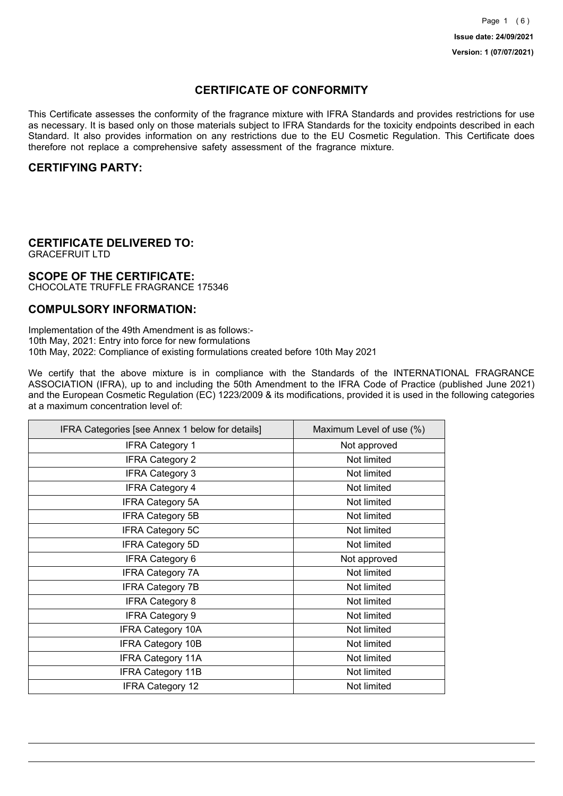## **CERTIFICATE OF CONFORMITY**

This Certificate assesses the conformity of the fragrance mixture with IFRA Standards and provides restrictions for use as necessary. It is based only on those materials subject to IFRA Standards for the toxicity endpoints described in each Standard. It also provides information on any restrictions due to the EU Cosmetic Regulation. This Certificate does therefore not replace a comprehensive safety assessment of the fragrance mixture.

### **CERTIFYING PARTY:**

# **CERTIFICATE DELIVERED TO:**

GRACEFRUIT LTD

### **SCOPE OF THE CERTIFICATE:**

CHOCOLATE TRUFFLE FRAGRANCE 175346

### **COMPULSORY INFORMATION:**

Implementation of the 49th Amendment is as follows:- 10th May, 2021: Entry into force for new formulations 10th May, 2022: Compliance of existing formulations created before 10th May 2021

We certify that the above mixture is in compliance with the Standards of the INTERNATIONAL FRAGRANCE ASSOCIATION (IFRA), up to and including the 50th Amendment to the IFRA Code of Practice (published June 2021) and the European Cosmetic Regulation (EC) 1223/2009 & its modifications, provided it is used in the following categories at a maximum concentration level of:

| IFRA Categories [see Annex 1 below for details] | Maximum Level of use (%) |
|-------------------------------------------------|--------------------------|
| <b>IFRA Category 1</b>                          | Not approved             |
| <b>IFRA Category 2</b>                          | Not limited              |
| <b>IFRA Category 3</b>                          | Not limited              |
| <b>IFRA Category 4</b>                          | Not limited              |
| <b>IFRA Category 5A</b>                         | Not limited              |
| <b>IFRA Category 5B</b>                         | Not limited              |
| <b>IFRA Category 5C</b>                         | Not limited              |
| <b>IFRA Category 5D</b>                         | Not limited              |
| <b>IFRA Category 6</b>                          | Not approved             |
| <b>IFRA Category 7A</b>                         | Not limited              |
| <b>IFRA Category 7B</b>                         | Not limited              |
| <b>IFRA Category 8</b>                          | Not limited              |
| <b>IFRA Category 9</b>                          | Not limited              |
| <b>IFRA Category 10A</b>                        | Not limited              |
| <b>IFRA Category 10B</b>                        | Not limited              |
| <b>IFRA Category 11A</b>                        | Not limited              |
| <b>IFRA Category 11B</b>                        | Not limited              |
| <b>IFRA Category 12</b>                         | Not limited              |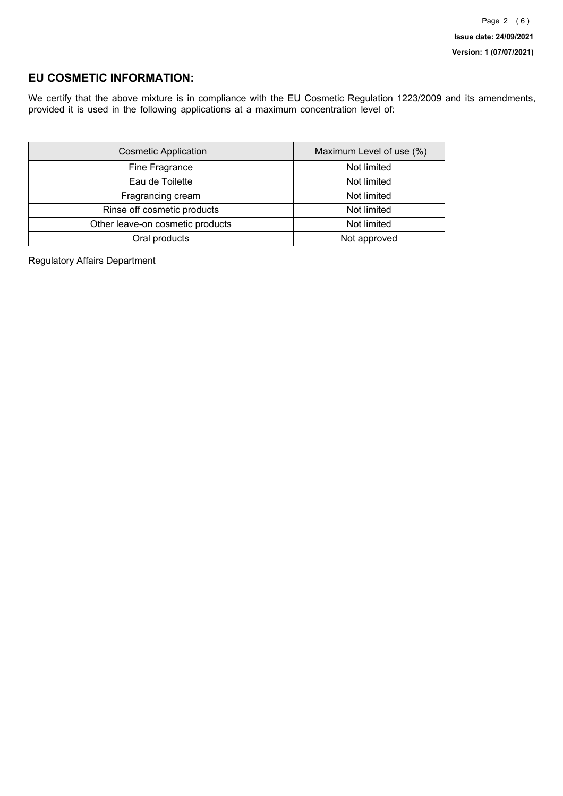## **EU COSMETIC INFORMATION:**

We certify that the above mixture is in compliance with the EU Cosmetic Regulation 1223/2009 and its amendments, provided it is used in the following applications at a maximum concentration level of:

| <b>Cosmetic Application</b>      | Maximum Level of use (%) |
|----------------------------------|--------------------------|
| Fine Fragrance                   | Not limited              |
| Eau de Toilette                  | Not limited              |
| Fragrancing cream                | Not limited              |
| Rinse off cosmetic products      | Not limited              |
| Other leave-on cosmetic products | Not limited              |
| Oral products                    | Not approved             |

Regulatory Affairs Department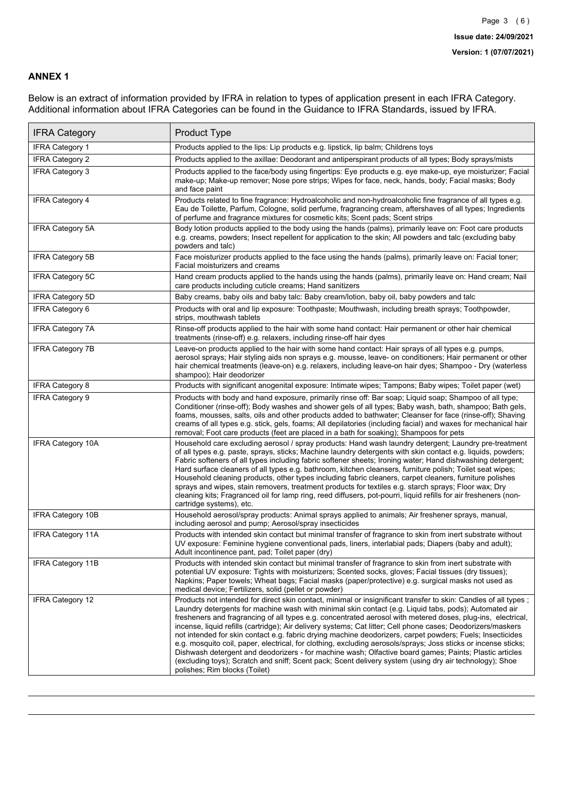### **ANNEX 1**

Below is an extract of information provided by IFRA in relation to types of application present in each IFRA Category. Additional information about IFRA Categories can be found in the Guidance to IFRA Standards, issued by IFRA.

| <b>IFRA Category</b>     | Product Type                                                                                                                                                                                                                                                                                                                                                                                                                                                                                                                                                                                                                                                                                                                                                                                                                                                                                                                                 |
|--------------------------|----------------------------------------------------------------------------------------------------------------------------------------------------------------------------------------------------------------------------------------------------------------------------------------------------------------------------------------------------------------------------------------------------------------------------------------------------------------------------------------------------------------------------------------------------------------------------------------------------------------------------------------------------------------------------------------------------------------------------------------------------------------------------------------------------------------------------------------------------------------------------------------------------------------------------------------------|
| <b>IFRA Category 1</b>   | Products applied to the lips: Lip products e.g. lipstick, lip balm; Childrens toys                                                                                                                                                                                                                                                                                                                                                                                                                                                                                                                                                                                                                                                                                                                                                                                                                                                           |
| <b>IFRA Category 2</b>   | Products applied to the axillae: Deodorant and antiperspirant products of all types; Body sprays/mists                                                                                                                                                                                                                                                                                                                                                                                                                                                                                                                                                                                                                                                                                                                                                                                                                                       |
| <b>IFRA Category 3</b>   | Products applied to the face/body using fingertips: Eye products e.g. eye make-up, eye moisturizer; Facial<br>make-up; Make-up remover; Nose pore strips; Wipes for face, neck, hands, body; Facial masks; Body<br>and face paint                                                                                                                                                                                                                                                                                                                                                                                                                                                                                                                                                                                                                                                                                                            |
| <b>IFRA Category 4</b>   | Products related to fine fragrance: Hydroalcoholic and non-hydroalcoholic fine fragrance of all types e.g.<br>Eau de Toilette, Parfum, Cologne, solid perfume, fragrancing cream, aftershaves of all types; Ingredients<br>of perfume and fragrance mixtures for cosmetic kits; Scent pads; Scent strips                                                                                                                                                                                                                                                                                                                                                                                                                                                                                                                                                                                                                                     |
| <b>IFRA Category 5A</b>  | Body lotion products applied to the body using the hands (palms), primarily leave on: Foot care products<br>e.g. creams, powders; Insect repellent for application to the skin; All powders and talc (excluding baby<br>powders and talc)                                                                                                                                                                                                                                                                                                                                                                                                                                                                                                                                                                                                                                                                                                    |
| IFRA Category 5B         | Face moisturizer products applied to the face using the hands (palms), primarily leave on: Facial toner;<br>Facial moisturizers and creams                                                                                                                                                                                                                                                                                                                                                                                                                                                                                                                                                                                                                                                                                                                                                                                                   |
| <b>IFRA Category 5C</b>  | Hand cream products applied to the hands using the hands (palms), primarily leave on: Hand cream; Nail<br>care products including cuticle creams; Hand sanitizers                                                                                                                                                                                                                                                                                                                                                                                                                                                                                                                                                                                                                                                                                                                                                                            |
| <b>IFRA Category 5D</b>  | Baby creams, baby oils and baby talc: Baby cream/lotion, baby oil, baby powders and talc                                                                                                                                                                                                                                                                                                                                                                                                                                                                                                                                                                                                                                                                                                                                                                                                                                                     |
| IFRA Category 6          | Products with oral and lip exposure: Toothpaste; Mouthwash, including breath sprays; Toothpowder,<br>strips, mouthwash tablets                                                                                                                                                                                                                                                                                                                                                                                                                                                                                                                                                                                                                                                                                                                                                                                                               |
| <b>IFRA Category 7A</b>  | Rinse-off products applied to the hair with some hand contact: Hair permanent or other hair chemical<br>treatments (rinse-off) e.g. relaxers, including rinse-off hair dyes                                                                                                                                                                                                                                                                                                                                                                                                                                                                                                                                                                                                                                                                                                                                                                  |
| <b>IFRA Category 7B</b>  | Leave-on products applied to the hair with some hand contact: Hair sprays of all types e.g. pumps,<br>aerosol sprays; Hair styling aids non sprays e.g. mousse, leave- on conditioners; Hair permanent or other<br>hair chemical treatments (leave-on) e.g. relaxers, including leave-on hair dyes; Shampoo - Dry (waterless<br>shampoo); Hair deodorizer                                                                                                                                                                                                                                                                                                                                                                                                                                                                                                                                                                                    |
| <b>IFRA Category 8</b>   | Products with significant anogenital exposure: Intimate wipes; Tampons; Baby wipes; Toilet paper (wet)                                                                                                                                                                                                                                                                                                                                                                                                                                                                                                                                                                                                                                                                                                                                                                                                                                       |
| IFRA Category 9          | Products with body and hand exposure, primarily rinse off: Bar soap; Liquid soap; Shampoo of all type;<br>Conditioner (rinse-off); Body washes and shower gels of all types; Baby wash, bath, shampoo; Bath gels,<br>foams, mousses, salts, oils and other products added to bathwater; Cleanser for face (rinse-off); Shaving<br>creams of all types e.g. stick, gels, foams; All depilatories (including facial) and waxes for mechanical hair<br>removal; Foot care products (feet are placed in a bath for soaking); Shampoos for pets                                                                                                                                                                                                                                                                                                                                                                                                   |
| <b>IFRA Category 10A</b> | Household care excluding aerosol / spray products: Hand wash laundry detergent; Laundry pre-treatment<br>of all types e.g. paste, sprays, sticks; Machine laundry detergents with skin contact e.g. liquids, powders;<br>Fabric softeners of all types including fabric softener sheets; Ironing water; Hand dishwashing detergent;<br>Hard surface cleaners of all types e.g. bathroom, kitchen cleansers, furniture polish; Toilet seat wipes;<br>Household cleaning products, other types including fabric cleaners, carpet cleaners, furniture polishes<br>sprays and wipes, stain removers, treatment products for textiles e.g. starch sprays; Floor wax; Dry<br>cleaning kits; Fragranced oil for lamp ring, reed diffusers, pot-pourri, liquid refills for air fresheners (non-<br>cartridge systems), etc.                                                                                                                          |
| <b>IFRA Category 10B</b> | Household aerosol/spray products: Animal sprays applied to animals; Air freshener sprays, manual,<br>including aerosol and pump; Aerosol/spray insecticides                                                                                                                                                                                                                                                                                                                                                                                                                                                                                                                                                                                                                                                                                                                                                                                  |
| <b>IFRA Category 11A</b> | Products with intended skin contact but minimal transfer of fragrance to skin from inert substrate without<br>UV exposure: Feminine hygiene conventional pads, liners, interlabial pads; Diapers (baby and adult);<br>Adult incontinence pant, pad; Toilet paper (dry)                                                                                                                                                                                                                                                                                                                                                                                                                                                                                                                                                                                                                                                                       |
| <b>IFRA Category 11B</b> | Products with intended skin contact but minimal transfer of fragrance to skin from inert substrate with<br>potential UV exposure: Tights with moisturizers; Scented socks, gloves; Facial tissues (dry tissues);<br>Napkins; Paper towels; Wheat bags; Facial masks (paper/protective) e.g. surgical masks not used as<br>medical device; Fertilizers, solid (pellet or powder)                                                                                                                                                                                                                                                                                                                                                                                                                                                                                                                                                              |
| <b>IFRA Category 12</b>  | Products not intended for direct skin contact, minimal or insignificant transfer to skin: Candles of all types;<br>Laundry detergents for machine wash with minimal skin contact (e.g. Liquid tabs, pods); Automated air<br>fresheners and fragrancing of all types e.g. concentrated aerosol with metered doses, plug-ins, electrical,<br>incense, liquid refills (cartridge); Air delivery systems; Cat litter; Cell phone cases; Deodorizers/maskers<br>not intended for skin contact e.g. fabric drying machine deodorizers, carpet powders; Fuels; Insecticides<br>e.g. mosquito coil, paper, electrical, for clothing, excluding aerosols/sprays; Joss sticks or incense sticks;<br>Dishwash detergent and deodorizers - for machine wash; Olfactive board games; Paints; Plastic articles<br>(excluding toys); Scratch and sniff; Scent pack; Scent delivery system (using dry air technology); Shoe<br>polishes; Rim blocks (Toilet) |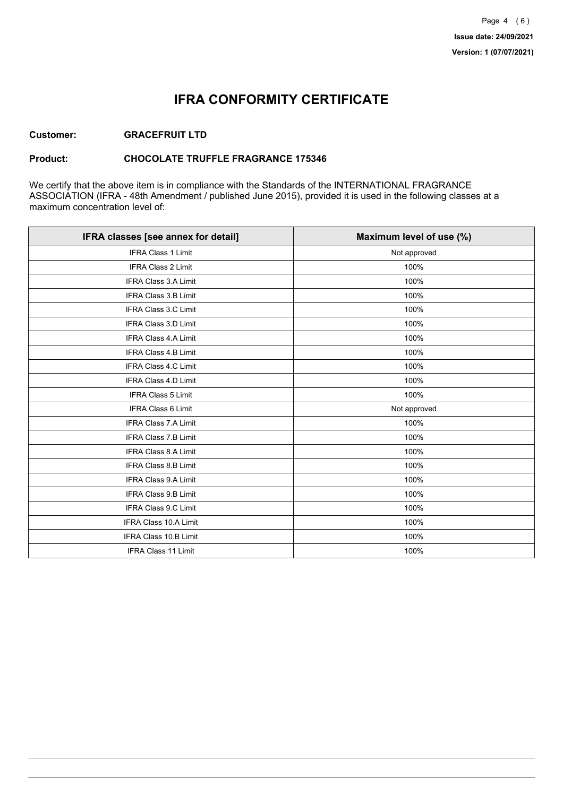# **IFRA CONFORMITY CERTIFICATE**

### **Customer: GRACEFRUIT LTD**

### **Product: CHOCOLATE TRUFFLE FRAGRANCE 175346**

We certify that the above item is in compliance with the Standards of the INTERNATIONAL FRAGRANCE ASSOCIATION (IFRA - 48th Amendment / published June 2015), provided it is used in the following classes at a maximum concentration level of:

| IFRA classes [see annex for detail] | Maximum level of use (%) |
|-------------------------------------|--------------------------|
| <b>IFRA Class 1 Limit</b>           | Not approved             |
| <b>IFRA Class 2 Limit</b>           | 100%                     |
| <b>IFRA Class 3.A Limit</b>         | 100%                     |
| IFRA Class 3.B Limit                | 100%                     |
| IFRA Class 3.C Limit                | 100%                     |
| IFRA Class 3.D Limit                | 100%                     |
| <b>IFRA Class 4.A Limit</b>         | 100%                     |
| <b>IFRA Class 4.B Limit</b>         | 100%                     |
| IFRA Class 4.C Limit                | 100%                     |
| <b>IFRA Class 4.D Limit</b>         | 100%                     |
| <b>IFRA Class 5 Limit</b>           | 100%                     |
| IFRA Class 6 Limit                  | Not approved             |
| <b>IFRA Class 7.A Limit</b>         | 100%                     |
| <b>IFRA Class 7.B Limit</b>         | 100%                     |
| <b>IFRA Class 8.A Limit</b>         | 100%                     |
| <b>IFRA Class 8.B Limit</b>         | 100%                     |
| <b>IFRA Class 9.A Limit</b>         | 100%                     |
| <b>IFRA Class 9.B Limit</b>         | 100%                     |
| IFRA Class 9.C Limit                | 100%                     |
| IFRA Class 10.A Limit               | 100%                     |
| IFRA Class 10.B Limit               | 100%                     |
| IFRA Class 11 Limit                 | 100%                     |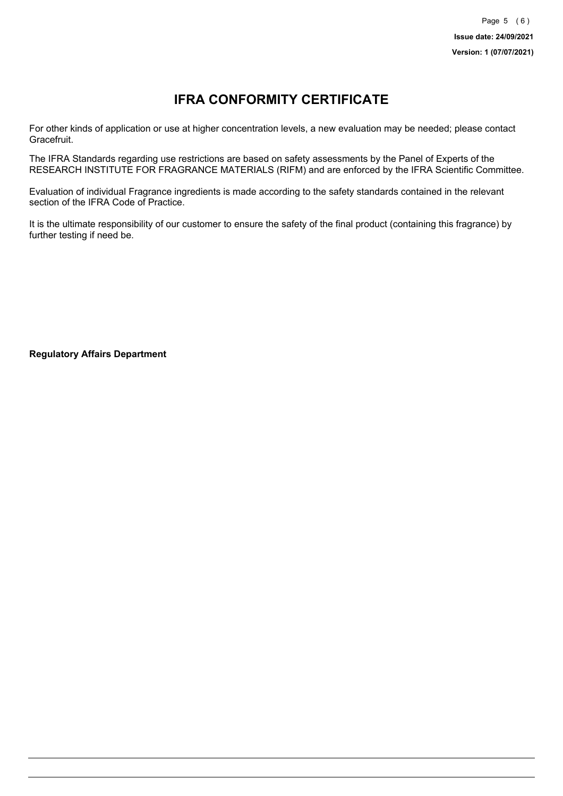# **IFRA CONFORMITY CERTIFICATE**

For other kinds of application or use at higher concentration levels, a new evaluation may be needed; please contact Gracefruit.

The IFRA Standards regarding use restrictions are based on safety assessments by the Panel of Experts of the RESEARCH INSTITUTE FOR FRAGRANCE MATERIALS (RIFM) and are enforced by the IFRA Scientific Committee.

Evaluation of individual Fragrance ingredients is made according to the safety standards contained in the relevant section of the IFRA Code of Practice.

It is the ultimate responsibility of our customer to ensure the safety of the final product (containing this fragrance) by further testing if need be.

**Regulatory Affairs Department**